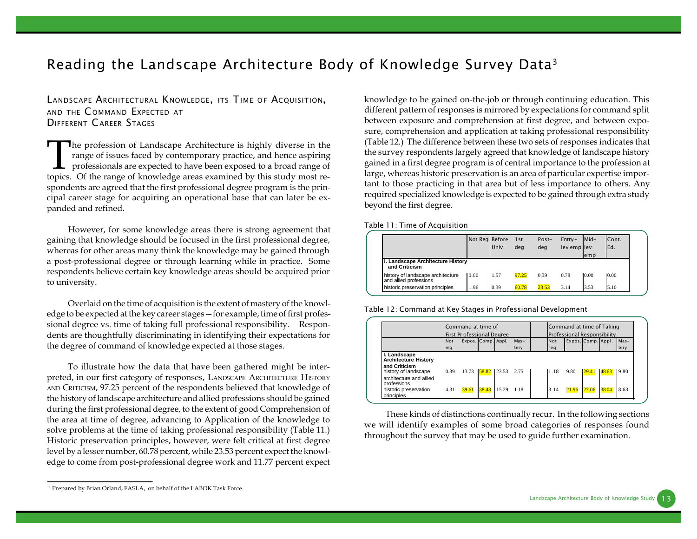## *Reading the Landscape Architecture Body of Knowledge Survey Data<sup>3</sup>*

*LANDSCAPE ARCHITECTURAL KNOWLEDGE, ITS TIME OF ACQUISITION, AND THE C OMMAND EXPECTED AT DIFFERENT CAREER STAGES*

 $\prod$ **The profession of Landscape Architecture is highly diverse in the** range of issues faced by contemporary practice, and hence aspiring professionals are expected to have been exposed to a broad range of topics. Of the range of knowledge areas examined by this study most respondents are agreed that the first professional degree program is the principal career stage for acquiring an operational base that can later be expanded and refined.

However, for some knowledge areas there is strong agreement that gaining that knowledge should be focused in the first professional degree, whereas for other areas many think the knowledge may be gained through a post-professional degree or through learning while in practice. Some respondents believe certain key knowledge areas should be acquired prior to university.

Overlaid on the time of acquisition is the extent of mastery of the knowledge to be expected at the key career stages—for example, time of first professional degree vs. time of taking full professional responsibility. Respondents are thoughtfully discriminating in identifying their expectations for the degree of command of knowledge expected at those stages.

To illustrate how the data that have been gathered might be interpreted, in our first category of responses, LANDSCAPE ARCHITECTURE HISTORY AND CRITICISM, 97.25 percent of the respondents believed that knowledge of the history of landscape architecture and allied professions should be gained during the first professional degree, to the extent of good Comprehension of the area at time of degree, advancing to Application of the knowledge to solve problems at the time of taking professional responsibility (Table 11.) Historic preservation principles, however, were felt critical at first degree level by a lesser number, 60.78 percent, while 23.53 percent expect the knowledge to come from post-professional degree work and 11.77 percent expect knowledge to be gained on-the-job or through continuing education. This different pattern of responses is mirrored by expectations for command split between exposure and comprehension at first degree, and between exposure, comprehension and application at taking professional responsibility (Table 12.) The difference between these two sets of responses indicates that the survey respondents largely agreed that knowledge of landscape history gained in a first degree program is of central importance to the profession at large, whereas historic preservation is an area of particular expertise important to those practicing in that area but of less importance to others. Any required specialized knowledge is expected to be gained through extra study beyond the first degree.

*Table 11: Time of Acquisition*

|                                                             | Not Reg Before | Univ | 1 <sub>st</sub><br>deg | Post-<br>deg | $Entrv -$<br>lev emp llev | Mid-<br>emp | Cont.<br>Ed. |
|-------------------------------------------------------------|----------------|------|------------------------|--------------|---------------------------|-------------|--------------|
| I. Landscape Architecture History<br>and Criticism          |                |      |                        |              |                           |             |              |
| history of landscape architecture<br>and allied professions | 0.00           | 1.57 | 97.25                  | 0.39         | 0.78                      | 0.00        | 0.00         |
| historic preservation principles                            | 1.96           | 0.39 | 60.78                  | 23.53        | 3.14                      | 3.53        | 5.10         |

*Table 12: Command at Key Stages in Professional Development*

|                                                                                                                                                                       |              | Command at time of<br>First Pr ofessional Degree |                    |                     |         |              | Command at time of Taking<br>Professional Responsibility |                |                |              |
|-----------------------------------------------------------------------------------------------------------------------------------------------------------------------|--------------|--------------------------------------------------|--------------------|---------------------|---------|--------------|----------------------------------------------------------|----------------|----------------|--------------|
|                                                                                                                                                                       | <b>Not</b>   |                                                  | Expos. Comp. Appl. |                     | $Mas -$ | Not          | Expos. Comp. Appl.                                       |                |                | $Mas-$       |
|                                                                                                                                                                       | reg          |                                                  |                    |                     | tery    | reg          |                                                          |                |                | tery         |
| I. Landscape<br><b>Architecture History</b><br>and Criticism<br>history of landscape<br>architecture and allied<br>professions<br>historic preservation<br>principles | 0.39<br>4.31 | 13.73 58.82<br>39.61                             | 38.43              | 23.53 2.75<br>15.29 | 1.18    | 1.18<br>3.14 | 9.80<br>21.96                                            | 29.41<br>27.06 | 48.63<br>38.04 | 9.80<br>8.63 |

These kinds of distinctions continually recur. In the following sections we will identify examples of some broad categories of responses found throughout the survey that may be used to guide further examination.

<sup>3</sup> Prepared by Brian Orland, FASLA, on behalf of the LABOK Task Force.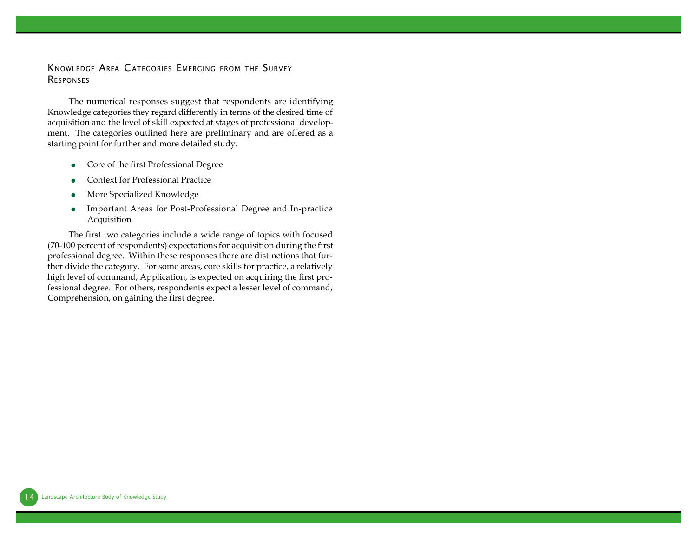#### *KNOWLEDGE AREA CATEGORIES EMERGING FROM THE SURVEY RESPONSES*

The numerical responses suggest that respondents are identifying Knowledge categories they regard differently in terms of the desired time of acquisition and the level of skill expected at stages of professional development. The categories outlined here are preliminary and are offered as a starting point for further and more detailed study.

- Core of the first Professional Degree
- **Context for Professional Practice**
- **•** More Specialized Knowledge
- **Important Areas for Post-Professional Degree and In-practice** Acquisition

The first two categories include a wide range of topics with focused (70-100 percent of respondents) expectations for acquisition during the first professional degree. Within these responses there are distinctions that further divide the category. For some areas, core skills for practice, a relatively high level of command, Application, is expected on acquiring the first professional degree. For others, respondents expect a lesser level of command, Comprehension, on gaining the first degree.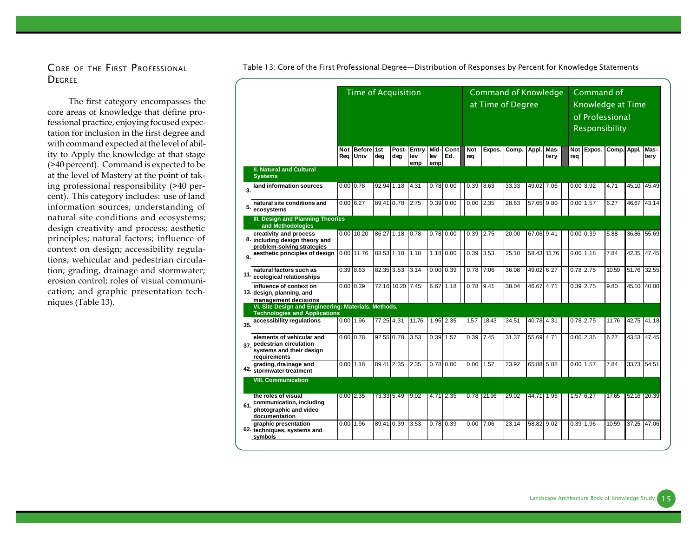# *DEGREE*

The first category encompasses the core areas of knowledge that define professional practice, enjoying focused expectation for inclusion in the first degree and with command expected at the level of ability to Apply the knowledge at that stage (>40 percent). Command is expected to be at the level of Mastery at the point of taking professional responsibility (>40 percent). This category includes: use of land information sources; understanding of natural site conditions and ecosystems; design creativity and process; aesthetic principles; natural factors; influence of context on design; accessibility regulations; wehicular and pedestrian circulation; grading, drainage and stormwater; erosion control; roles of visual communication; and graphic presentation techniques (Table 13).

|     |                                                                                                     | <b>Time of Acquisition</b><br><b>Before 1st</b><br>Post-<br>Entry<br>Mid<br>Not |              |            |             |            |            |             |                   |        | <b>Command of Knowledge</b><br>at Time of Degree |             |              |                   | Command of<br>Knowledge at Time<br>of Professional<br>Responsibility |             |       |              |
|-----|-----------------------------------------------------------------------------------------------------|---------------------------------------------------------------------------------|--------------|------------|-------------|------------|------------|-------------|-------------------|--------|--------------------------------------------------|-------------|--------------|-------------------|----------------------------------------------------------------------|-------------|-------|--------------|
|     |                                                                                                     | Reg                                                                             | Univ         | deg        | deq         | lev<br>emp | lev<br>emp | Cont<br>Ed. | <b>Not</b><br>req | Expos. | Comp.                                            | Appl.       | Mas-<br>tery | <b>Not</b><br>req | Expos.                                                               | Comp. Appl. |       | Mas-<br>tery |
|     | <b>II. Natural and Cultural</b><br><b>Systems</b>                                                   |                                                                                 |              |            |             |            |            |             |                   |        |                                                  |             |              |                   |                                                                      |             |       |              |
| 3.  | land information sources                                                                            |                                                                                 | 0.00 0.78    | 92.94 1.18 |             | 4.31       |            | $0.78$ 0.00 | 0.39              | 8.63   | 33.33                                            | 49.02 7.06  |              |                   | 0.003.92                                                             | 4.71        | 45.10 | 45.49        |
| 5.  | natural site conditions and<br>ecosystems                                                           |                                                                                 | $0.00$ 6.27  | 89.41 0.78 |             | 2.75       | 0.39       | 0.00        | 0.00              | 2.35   | 28.63                                            | 57.65 9.80  |              |                   | 0.00 1.57                                                            | 6.27        | 46.67 | 43.14        |
|     | III. Design and Planning Theories<br>and Methodologies                                              |                                                                                 |              |            |             |            |            |             |                   |        |                                                  |             |              |                   |                                                                      |             |       |              |
|     | creativity and process<br>8. including design theory and<br>problem-solving strategies              |                                                                                 | $0.00$ 10.20 | 86.27 1.18 |             | 0.78       |            | $0.78$ 0.00 | 0.39              | 2.75   | 20.00                                            | 67.06 9.41  |              |                   | $0.00$ $0.39$                                                        | 5.88        | 36.86 | 55.69        |
| 9.  | aesthetic principles of design                                                                      |                                                                                 | $0.00$ 11.76 | 83.53 1.18 |             | 1.18       |            | 1.18 0.00   | 0.39              | 3.53   | 25.10                                            | 58.43 11.76 |              |                   | 0.001.18                                                             | 7.84        | 42.35 | 47.45        |
| 11. | natural factors such as<br>ecological relationships                                                 |                                                                                 | $0.39$ 8.63  | 82.35 3.53 |             | 3.14       | 0.00       | 0.39        | 0.78              | 7.06   | 36.08                                            | 49.02 6.27  |              |                   | 0.78 2.75                                                            | 10.59       | 51.76 | 32.55        |
|     | influence of context on<br>13. design, planning, and<br>management decisions                        | 0.00                                                                            | 0.39         |            | 72.16 10.20 | 7.45       | 6.67       | 1.18        | 0.78              | 9.41   | 38.04                                            | 46.67 4.71  |              |                   | 0.39 2.75                                                            | 9.80        | 45.10 | 40.00        |
|     | VI. Site Design and Engineering: Materials, Methods,<br><b>Technologies and Applications</b>        |                                                                                 |              |            |             |            |            |             |                   |        |                                                  |             |              |                   |                                                                      |             |       |              |
| 35. | accessibility regulations                                                                           |                                                                                 | 0.0011.96    | 77.25 4.31 |             | 11.76      |            | 1.96 2.35   | 1.57              | 18.43  | 34.51                                            | 40.78 4.31  |              |                   | 0.78 2.75                                                            | 11.76       |       | 42.75 41.18  |
|     | elements of vehicular and<br>37. pedestrian circulation<br>systems and their design<br>requirements |                                                                                 | 0.00 0.78    | 92.55 0.78 |             | 3.53       | 0.39       | 1.57        | 0.39              | 7.45   | 31.37                                            | 55.69 4.71  |              |                   | 0.002.35                                                             | 6.27        | 43.53 | 47.45        |
| 42. | grading, drainage and<br>stormwater treatment                                                       |                                                                                 | $0.00$ 1.18  | 89.41 2.35 |             | 2.35       | 0.78       | 0.00        | 0.00              | 1.57   | 23.92                                            | 65.88 5.88  |              |                   | 0.00 1.57                                                            | 7.84        | 33.73 | 54.51        |
|     | <b>VIII. Communication</b>                                                                          |                                                                                 |              |            |             |            |            |             |                   |        |                                                  |             |              |                   |                                                                      |             |       |              |
| 61. | the roles of visual<br>communication, including<br>photographic and video<br>documentation          |                                                                                 | $0.00$ 2.35  | 73.33 5.49 |             | 9.02       | 4.71       | 2.35        | 0.78              | 21.96  | 29.02                                            | 44.71 1.96  |              |                   | 1.57 6.27                                                            | 17.65       | 52.16 | 20.39        |
|     | graphic presentation<br>62. techniques, systems and<br>symbols                                      |                                                                                 | $0.00$ 1.96  | 89.41 0.39 |             | 3.53       | 0.78       | 0.39        | 0.00              | 7.06   | 23.14                                            | 58.82 9.02  |              |                   | 0.39 1.96                                                            | 10.59       | 37.25 | 47.06        |

*C ORE OF THE FIRST P ROFESSIONAL Table 13: Core of the First Professional Degree—Distribution of Responses by Percent for Knowledge Statements*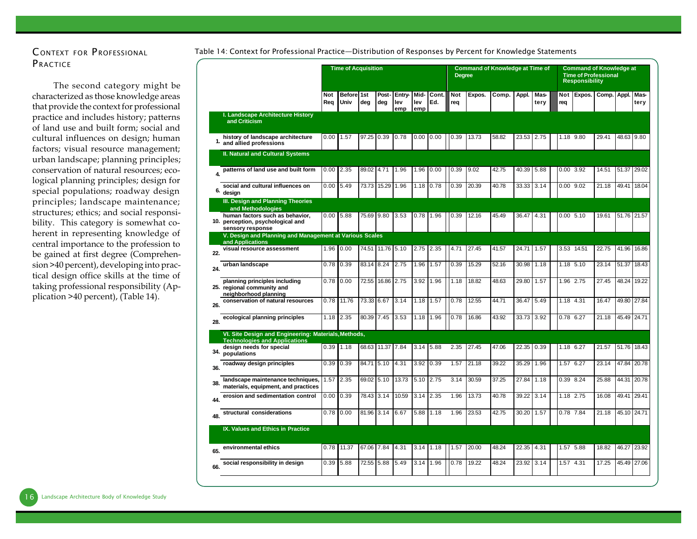## *C ONTEXT FOR P ROFESSIONAL P RACTICE*

The second category might be characterized as those knowledge areas that provide the context for professional practice and includes history; patterns of land use and built form; social and cultural influences on design; human factors; visual resource management; urban landscape; planning principles; conservation of natural resources; ecological planning principles; design for special populations; roadway design principles; landscape maintenance; structures; ethics; and social responsibility. This category is somewhat coherent in representing knowledge of central importance to the profession to be gained at first degree (Comprehension >40 percent), developing into practical design office skills at the time of taking professional responsibility (Application >40 percent), (Table 14).

#### *Table 14: Context for Professional Practice—Distribution of Responses by Percent for Knowledge Statements*

|     |                                                                                              |      | <b>Time of Acquisition</b><br>Before 1st<br><b>Not</b> |            |                  |                      |                    |              | <b>Degree</b>     | <b>Command of Knowledge at Time of</b> |       |       |              |               | <b>Command of Knowledge at</b><br><b>Time of Professional</b><br><b>Responsibility</b> |       |       |              |
|-----|----------------------------------------------------------------------------------------------|------|--------------------------------------------------------|------------|------------------|----------------------|--------------------|--------------|-------------------|----------------------------------------|-------|-------|--------------|---------------|----------------------------------------------------------------------------------------|-------|-------|--------------|
|     |                                                                                              | Rea  | Univ                                                   | dea        | Post-<br>dea     | Entry-<br>lev<br>emp | Mid-<br>lev<br>emp | Cont.<br>Ed. | <b>Not</b><br>rea | Expos.                                 | Comp. | Appl. | Mas-<br>terv | Not<br>req    | Expos.                                                                                 | Comp. | Appl. | Mas-<br>tery |
|     | <b>I. Landscape Architecture History</b><br>and Criticism                                    |      |                                                        |            |                  |                      |                    |              |                   |                                        |       |       |              |               |                                                                                        |       |       |              |
| 1.  | history of landscape architecture<br>and allied professions                                  | 0.00 | 1.57                                                   | 97.25      | 0.39             | 0.78                 | 0.00               | 0.00         | 0.39              | 13.73                                  | 58.82 | 23.53 | 2.75         | 1.18 9.80     |                                                                                        | 29.41 | 48.63 | 9.80         |
|     | <b>II. Natural and Cultural Systems</b>                                                      |      |                                                        |            |                  |                      |                    |              |                   |                                        |       |       |              |               |                                                                                        |       |       |              |
| 4.  | patterns of land use and built form                                                          | 0.00 | 2.35                                                   | 89.02      | 4.71             | 1.96                 | 1.96               | 0.00         | 0.39              | 9.02                                   | 42.75 | 40.39 | 5.88         | $0.00$ 3.92   |                                                                                        | 14.51 | 51.37 | 29.02        |
| 6.  | social and cultural influences on<br>design                                                  | 0.00 | 5.49                                                   | 73.73      | 15.29            | 1.96                 | 1.18               | 0.78         | 0.39              | 20.39                                  | 40.78 | 33.33 | 3.14         | $0.00$ $9.02$ |                                                                                        | 21.18 | 49.41 | 18.04        |
|     | III. Design and Planning Theories<br>and Methodologies                                       |      |                                                        |            |                  |                      |                    |              |                   |                                        |       |       |              |               |                                                                                        |       |       |              |
|     | human factors such as behavior,<br>10. perception, psychological and<br>sensory response     | 0.00 | 5.88                                                   | 75.69 9.80 |                  | 3.53                 | 0.78               | 1.96         | 0.39              | 12.16                                  | 45.49 | 36.47 | 4.31         | 0.00, 5.10    |                                                                                        | 19.61 | 51.76 | 21.57        |
|     | V. Design and Planning and Management at Various Scales<br>and Applications                  |      |                                                        |            |                  |                      |                    |              |                   |                                        |       |       |              |               |                                                                                        |       |       |              |
| 22. | visual resource assessment                                                                   | 1.96 | 0.00                                                   | 74.51      | 11.76 5.10       |                      | 2.75               | 2.35         | 4.71              | 27.45                                  | 41.57 | 24.71 | 1.57         |               | 3.53 14.51                                                                             | 22.75 | 41.96 | 16.86        |
| 24. | urban landscape                                                                              | 0.78 | 0.39                                                   | 83.14      | 8.24             | 2.75                 | 1.96               | 1.57         | 0.39              | 15.29                                  | 52.16 | 30.98 | 1.18         | 1.18 5.10     |                                                                                        | 23.14 | 51.37 | 18.43        |
|     | planning principles including<br>25. regional community and<br>neighborhood planning         | 0.78 | 0.00                                                   | 72.55      | 16.86            | 2.75                 | 3.92               | 1.96         | 1.18              | 18.82                                  | 48.63 | 29.80 | 1.57         | 1.96 2.75     |                                                                                        | 27.45 | 48.24 | 19.22        |
| 26. | conservation of natural resources                                                            | 0.78 | 11.76                                                  | 73.33      | 6.67             | 3.14                 | 1.18               | 1.57         | 0.78              | 12.55                                  | 44.71 | 36.47 | 5.49         | 1.18 4.31     |                                                                                        | 16.47 | 49.80 | 27.84        |
| 28. | ecological planning principles                                                               | 1.18 | 2.35                                                   | 80.39 7.45 |                  | 3.53                 | 1.18               | 1.96         | 0.78              | 16.86                                  | 43.92 | 33.73 | 3.92         | 0.78 6.27     |                                                                                        | 21.18 | 45.49 | 24.71        |
|     | VI. Site Design and Engineering: Materials, Methods,<br><b>Technologies and Applications</b> |      |                                                        |            |                  |                      |                    |              |                   |                                        |       |       |              |               |                                                                                        |       |       |              |
| 34. | design needs for special<br>populations                                                      | 0.39 | 1.18                                                   |            | 68.63 11.37 7.84 |                      | 3.14               | 5.88         | 2.35              | 27.45                                  | 47.06 | 22.35 | 0.39         | 1.18 6.27     |                                                                                        | 21.57 | 51.76 | 18.43        |
| 36. | roadway design principles                                                                    | 0.39 | 0.39                                                   | 84.71      | 5.10             | 4.31                 | 3.92               | 0.39         | 1.57              | 21.18                                  | 39.22 | 35.29 | 1.96         | 1.57 6.27     |                                                                                        | 23.14 | 47.84 | 20.78        |
| 38. | landscape maintenance techniques,<br>materials, equipment, and practices                     | 1.57 | 2.35                                                   | 69.02 5.10 |                  | 13.73                | 5.10               | 2.75         | 3.14              | 30.59                                  | 37.25 | 27.84 | 1.18         | 0.39 8.24     |                                                                                        | 25.88 | 44.31 | 20.78        |
| 44. | erosion and sedimentation control                                                            | 0.00 | 0.39                                                   | 78.43 3.14 |                  | 10.59                | 3.14               | 2.35         | 1.96              | 13.73                                  | 40.78 | 39.22 | 3.14         | 1.18 2.75     |                                                                                        | 16.08 | 49.41 | 29.41        |
| 48. | structural considerations                                                                    | 0.78 | 0.00                                                   | 81.96      | 3.14             | 6.67                 | 5.88               | 1.18         | 1.96              | 23.53                                  | 42.75 | 30.20 | 1.57         | 0.78 7.84     |                                                                                        | 21.18 | 45.10 | 24.71        |
|     | IX. Values and Ethics in Practice                                                            |      |                                                        |            |                  |                      |                    |              |                   |                                        |       |       |              |               |                                                                                        |       |       |              |
| 65. | environmental ethics                                                                         | 0.78 | 11.37                                                  | 67.06      | 7.84             | 4.31                 | 3.14               | 1.18         | 1.57              | 20.00                                  | 48.24 | 22.35 | 4.31         | 1.57 5.88     |                                                                                        | 18.82 | 46.27 | 23.92        |
| 66. | social responsibility in design                                                              | 0.39 | 5.88                                                   | 72.55      | 5.88             | 5.49                 | 3.14               | 1.96         | 0.78              | 19.22                                  | 48.24 | 23.92 | 3.14         | 1.57 4.31     |                                                                                        | 17.25 | 45.49 | 27.06        |
|     |                                                                                              |      |                                                        |            |                  |                      |                    |              |                   |                                        |       |       |              |               |                                                                                        |       |       |              |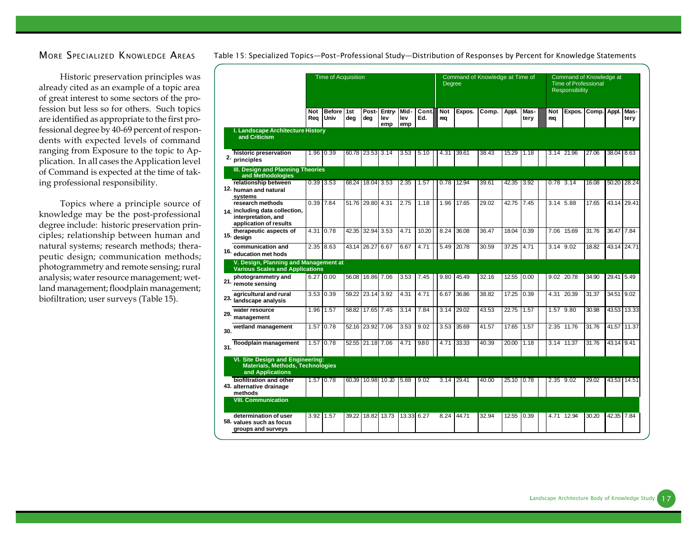#### *MORE SPECIALIZED KNOWLEDGE AREAS*

Historic preservation principles was already cited as an example of a topic area of great interest to some sectors of the profession but less so for others. Such topics are identified as appropriate to the first professional degree by 40-69 percent of respondents with expected levels of command ranging from Exposure to the topic to Application. In all cases the Application level of Command is expected at the time of taking professional responsibility.

Topics where a principle source of knowledge may be the post-professional degree include: historic preservation principles; relationship between human and natural systems; research methods; therapeutic design; communication methods; photogrammetry and remote sensing; rural analysis; water resource management; wetland management; floodplain management; biofiltration; user surveys (Table 15).

|     |                                                                                                     |            | <b>Time of Acquisition</b> |            |                  |                      |                    |              | Degree            |        | Command of Knowledge at Time of |       |              |                   | Command of Knowledge at<br><b>Time of Professional</b><br><b>Responsibility</b> |       |                     |              |
|-----|-----------------------------------------------------------------------------------------------------|------------|----------------------------|------------|------------------|----------------------|--------------------|--------------|-------------------|--------|---------------------------------|-------|--------------|-------------------|---------------------------------------------------------------------------------|-------|---------------------|--------------|
|     |                                                                                                     | Not<br>Rea | <b>Before</b><br>Univ      | 1st<br>deg | Post-<br>deg     | Entry-<br>lev<br>emp | Mid-<br>lev<br>emp | Cont.<br>Ed. | <b>Not</b><br>req | Expos. | Comp.                           | Appl. | Mas-<br>tery | <b>Not</b><br>rea | Expos.                                                                          | Comp. | Appl.               | Mas-<br>tery |
|     | I. Landscape Architecture History<br>and Criticism                                                  |            |                            |            |                  |                      |                    |              |                   |        |                                 |       |              |                   |                                                                                 |       |                     |              |
|     | historic preservation<br>2. principles                                                              |            | 1.96 0.39                  |            | 60.78 23.53 3.14 |                      | 3.53               | 5.10         | 4.31              | 39.61  | 38.43                           | 15.29 | 1.18         |                   | 3.14 21.96                                                                      | 27.06 | 38.04 8.63          |              |
|     | III. Design and Planning Theories<br>and Methodologies                                              |            |                            |            |                  |                      |                    |              |                   |        |                                 |       |              |                   |                                                                                 |       |                     |              |
|     | relationship between<br>12. human and natural<br>systems                                            |            | $0.39$ 3.53                | 68.24      | 18.04 3.53       |                      | 2.35               | 1.57         | 0.78              | 12.94  | 39.61                           | 42.35 | 3.92         |                   | $0.78$ 3.14                                                                     | 16.08 | 50.20 28.24         |              |
|     | research methods<br>14. including data collection.<br>interpretation, and<br>application of results |            | 0.39 7.84                  |            | 51.76 29.80      | 4.31                 | 2.75               | 1.18         | 1.96              | 17.65  | 29.02                           | 42.75 | 7.45         |                   | 3.14 5.88                                                                       | 17.65 | 43.14 29.41         |              |
| 15. | therapeutic aspects of<br>design                                                                    | 4.31       | 0.78                       | 42.35      | 32.94            | 3.53                 | 4.71               | 10.20        | 8.24              | 36.08  | 36.47                           | 18.04 | 0.39         | 7.06              | 15.69                                                                           | 31.76 | 36.47               | 7.84         |
| 16. | communication and<br>education met hods                                                             |            | 2.35 8.63                  | 43.14      | 26.27            | 6.67                 | 6.67               | 4.71         | 5.49              | 20.78  | 30.59                           | 37.25 | 4.71         |                   | 3.14 9.02                                                                       | 18.82 | 43.14               | 24.71        |
|     | V. Design, Planning and Management at<br><b>Various Scales and Applications</b>                     |            |                            |            |                  |                      |                    |              |                   |        |                                 |       |              |                   |                                                                                 |       |                     |              |
|     | photogrammetry and<br>21. remote sensing                                                            |            | 6.27 0.00                  | 56.08      | 16.86 7.06       |                      | 3.53               | 7.45         | 9.80              | 45.49  | 32.16                           | 12.55 | 0.00         |                   | 9.02 20.78                                                                      | 34.90 | 29.41               | 5.49         |
| 23. | agricultural and rural<br>landscape analysis                                                        |            | 3.53 0.39                  | 59.22      | 23.14 3.92       |                      | 4.31               | 4.71         | 6.67              | 36.86  | 38.82                           | 17.25 | 0.39         | 4.31              | 20.39                                                                           | 31.37 | 34.51               | 9.02         |
| 29. | water resource<br>management                                                                        | 1.96       | 1.57                       | 58.82      | 17.65            | 7.45                 | 3.14               | 7.84         | 3.14              | 29.02  | 43.53                           | 22.75 | 1.57         |                   | 1.57 9.80                                                                       | 30.98 | 43.53 13.33         |              |
| 30. | wetland management                                                                                  | 1.57       | 0.78                       | 52.16      | 23.92            | 7.06                 | 3.53               | 9.02         | 3.53              | 35.69  | 41.57                           | 17.65 | 1.57         |                   | 2.35 11.76                                                                      | 31.76 | $\overline{4}$ 1.57 | 11.37        |
| 31. | floodplain management                                                                               | 1.57       | 0.78                       | 52.55      | 21.18 7.06       |                      | 4.71               | 9.80         | 4.71              | 33.33  | 40.39                           | 20.00 | 1.18         |                   | 3.14 11.37                                                                      | 31.76 | 43.14 9.41          |              |
|     | VI. Site Design and Engineering:<br>Materials, Methods, Technologies<br>and Applications            |            |                            |            |                  |                      |                    |              |                   |        |                                 |       |              |                   |                                                                                 |       |                     |              |
|     | biofiltration and other<br>43. alternative drainage<br>methods                                      |            | 1.57 0.78                  | 60.39      |                  | 10.98 10.20          | 5.88               | 9.02         | 3.14              | 29.41  | 40.00                           | 25.10 | 0.78         |                   | 2.35 9.02                                                                       | 29.02 | 43.53 14.51         |              |
|     | <b>VIII. Communication</b>                                                                          |            |                            |            |                  |                      |                    |              |                   |        |                                 |       |              |                   |                                                                                 |       |                     |              |
|     | determination of user<br>58. values such as focus<br>groups and surveys                             |            | 3.92 1.57                  | 39.22      |                  | 18.82 13.73          | 13.33              | 6.27         | 8.24              | 44.71  | 32.94                           | 12.55 | 0.39         |                   | 4.71 12.94                                                                      | 30.20 | 42.35 7.84          |              |

*Table 15: Specialized Topics—Post-Professional Study—Distribution of Responses by Percent for Knowledge Statements*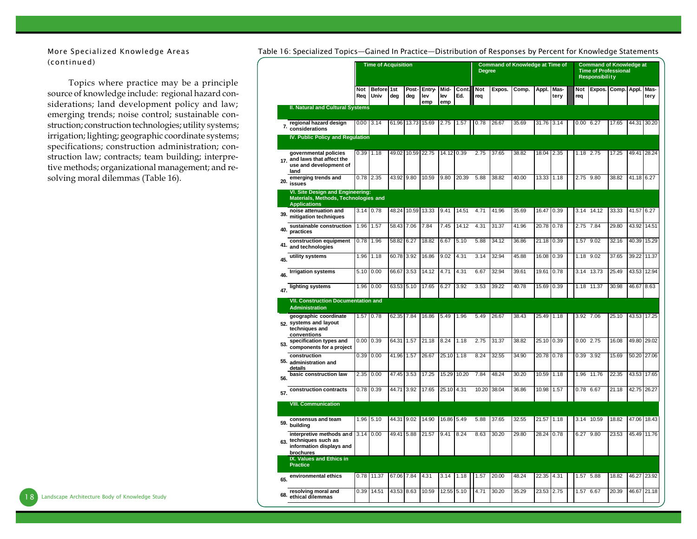*More Specialized Knowledge Areas (continued)*

Topics where practice may be a principle source of knowledge include: regional hazard considerations; land development policy and law; emerging trends; noise control; sustainable construction; construction technologies; utility systems; irrigation; lighting; geographic coordinate systems; specifications; construction administration; construction law; contracts; team building; interpretive methods; organizational management; and resolving moral dilemmas (Table 16).

|     |                                                                                                  |                   | <b>Time of Acquisition</b> |            |              |                      |                    |              | <b>Degree</b> |        | <b>Command of Knowledge at Time of</b> |       |              |            | <b>Command of Knowledge at</b><br><b>Time of Professional</b><br>Responsibility |                    |       |              |
|-----|--------------------------------------------------------------------------------------------------|-------------------|----------------------------|------------|--------------|----------------------|--------------------|--------------|---------------|--------|----------------------------------------|-------|--------------|------------|---------------------------------------------------------------------------------|--------------------|-------|--------------|
|     |                                                                                                  | <b>Not</b><br>Req | <b>Before</b><br>Univ      | 1st<br>deg | Post-<br>deg | Entry-<br>lev<br>emp | Mid-<br>lev<br>emp | Cont.<br>Ed. | Not<br>rea    | Expos. | Comp.                                  | Appl. | Mas-<br>tery | Not<br>req |                                                                                 | Expos. Comp. Appl. |       | Mas-<br>tery |
|     | <b>II. Natural and Cultural Systems</b>                                                          |                   |                            |            |              |                      |                    |              |               |        |                                        |       |              |            |                                                                                 |                    |       |              |
|     | regional hazard design<br>7. considerations                                                      | 0.00              | 3.14                       | 61.96      | 13.73        | 15.69                | 2.75               | 1.57         | 0.78          | 26.67  | 35.69                                  | 31.76 | 3.14         |            | 0.006.27                                                                        | 17.65              | 44.31 | 30.20        |
|     | <b>IV. Public Policy and Regulation</b>                                                          |                   |                            |            |              |                      |                    |              |               |        |                                        |       |              |            |                                                                                 |                    |       |              |
|     | governmental policies<br>17. and laws that affect the<br>use and development of<br>land          | 0.39              | 1.18                       | 49.02      | 10.59 22.75  |                      | 14.12 0.39         |              | 2.75          | 37.65  | 38.82                                  | 18.04 | 2.35         |            | 1.18 2.75                                                                       | 17.25              | 49.41 | 28.24        |
| 20. | emerging trends and<br>issues                                                                    | 0.78              | 2.35                       | 43.92 9.80 |              | 10.59                | 9.80               | 20.39        | 5.88          | 38.82  | 40.00                                  | 13.33 | 1.18         |            | 2.75 9.80                                                                       | 38.82              | 41.18 | 6.27         |
|     | VI. Site Design and Engineering:<br>Materials, Methods, Technologies and<br><b>Applications</b>  |                   |                            |            |              |                      |                    |              |               |        |                                        |       |              |            |                                                                                 |                    |       |              |
| 39. | noise attenuation and<br>mitigation techniques                                                   | 3.14              | 0.78                       | 48.24      | 10.59        | 13.33                | 9.41               | 14.51        | 4.71          | 41.96  | 35.69                                  | 16.47 | 0.39         |            | 3.14 14.12                                                                      | 33.33              | 41.57 | 6.27         |
| 40. | sustainable construction<br>practices                                                            | 1.96              | 1.57                       | 58.43      | 7.06         | 7.84                 | 7.45               | 14.12        | 4.31          | 31.37  | 41.96                                  | 20.78 | 0.78         | 2.75       | 7.84                                                                            | 29.80              | 43.92 | 14.51        |
| 41. | construction equipment<br>and technologies                                                       | 0.78              | 1.96                       | 58.82      | 6.27         | 18.82                | 6.67               | 5.10         | 5.88          | 34.12  | 36.86                                  | 21.18 | 0.39         | 1.57       | 9.02                                                                            | 32.16              | 40.39 | 15.29        |
| 45. | utility systems                                                                                  | 1.96              | 1.18                       | 60.78      | 3.92         | 16.86                | 9.02               | 4.31         | 3.14          | 32.94  | 45.88                                  | 16.08 | 0.39         |            | $1.18$ $9.02$                                                                   | 37.65              | 39.22 | 11.37        |
| 46. | <b>Irrigation systems</b>                                                                        | 5.10              | 0.00                       | 66.67      | 3.53         | 14.12                | 4.71               | 4.31         | 6.67          | 32.94  | 39.61                                  | 19.61 | 0.78         | 3.14       | 13.73                                                                           | 25.49              | 43.53 | 12.94        |
| 47. | lighting systems                                                                                 | 1.96              | 0.00                       | 63.53      | 5.10         | 17.65                | 6.27               | 3.92         | 3.53          | 39.22  | 40.78                                  | 15.69 | 0.39         |            | 1.18 11.37                                                                      | 30.98              | 46.67 | 8.63         |
|     | <b>VII. Construction Documentation and</b><br><b>Administration</b>                              |                   |                            |            |              |                      |                    |              |               |        |                                        |       |              |            |                                                                                 |                    |       |              |
|     | geographic coordinate<br>52. systems and layout<br>techniques and<br>conventions                 | 1.57              | 0.78                       | 62.35      | 7.84         | 16.86                | 5.49               | 1.96         | 5.49          | 26.67  | 38.43                                  | 25.49 | 1.18         |            | 3.92 7.06                                                                       | 25.10              | 43.53 | 17.25        |
| 53. | specification types and<br>components for a project                                              | 0.00              | 0.39                       | 64.31      | 1.57         | 21.18                | 8.24               | 1.18         | 2.75          | 31.37  | 38.82                                  | 25.10 | 0.39         |            | $0.00$ 2.75                                                                     | 16.08              | 49.80 | 29.02        |
| 55. | construction<br>administration and<br>details                                                    | 0.39              | 0.00                       | 41.96      | 1.57         | 26.67                | 25.10              | 1.18         | 8.24          | 32.55  | 34.90                                  | 20.78 | 0.78         | 0.39       | 3.92                                                                            | 15.69              | 50.20 | 27.06        |
| 56. | basic construction law                                                                           | 2.35              | 0.00                       | 47.45      | 3.53         | 17.25                | 15.29              | 10.20        | 7.84          | 48.24  | 30.20                                  | 10.59 | 1.18         | 1.96       | 11.76                                                                           | 22.35              | 43.53 | 17.65        |
| 57. | construction contracts                                                                           | 0.78              | 0.39                       | 44.71      | 3.92         | 17.65                | 25.10              | 4.31         | 10.20         | 38.04  | 36.86                                  | 10.98 | 1.57         |            | 0.78 6.67                                                                       | 21.18              | 42.75 | 26.27        |
|     | <b>VIII. Communication</b>                                                                       |                   |                            |            |              |                      |                    |              |               |        |                                        |       |              |            |                                                                                 |                    |       |              |
| 59. | consensus and team<br>building                                                                   | 1.96              | 5.10                       | 44.31      | 9.02         | 14.90                | 16.86              | 5.49         | 5.88          | 37.65  | 32.55                                  | 21.57 | 1.18         |            | 3.14 10.59                                                                      | 18.82              | 47.06 | 18.43        |
|     | interpretive methods and 3.14<br>63. techniques such as<br>information displays and<br>brochures |                   | 0.00                       | 49.41      | 5.88         | 21.57                | 9.41               | 8.24         | 8.63          | 30.20  | 29.80                                  | 28.24 | 0.78         | 6.27       | 9.80                                                                            | 23.53              | 45.49 | 11.76        |
|     | IX. Values and Ethics in<br><b>Practice</b>                                                      |                   |                            |            |              |                      |                    |              |               |        |                                        |       |              |            |                                                                                 |                    |       |              |
| 65. | environmental ethics                                                                             | 0.78              | 11.37                      | 67.06      | 7.84         | 4.31                 | 3.14               | 1.18         | 1.57          | 20.00  | 48.24                                  | 22.35 | 4.31         |            | 1.57 5.88                                                                       | 18.82              | 46.27 | 23.92        |
| 68. | resolving moral and<br>ethical dilemmas                                                          | 0.39              | 14.51                      | 43.53      | 8.63         | 10.59                | 12.55              | 5.10         | 4.71          | 30.20  | 35.29                                  | 23.53 | 2.75         | 1.57       | 6.67                                                                            | 20.39              | 46.67 | 21.18        |

*Table 16: Specialized Topics—Gained In Practice—Distribution of Responses by Percent for Knowledge Statements*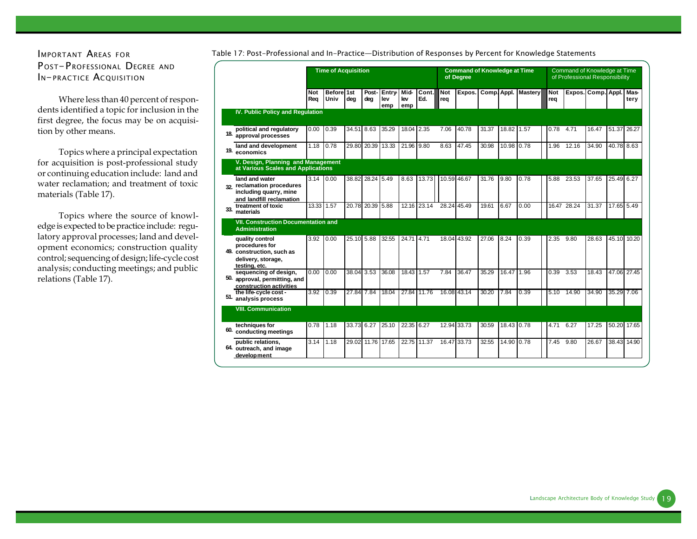## *IMPORTANT AREAS FOR P OST-PROFESSIONAL DEGREE AND IN-PRACTICE ACQUISITION*

Where less than 40 percent of respondents identified a topic for inclusion in the first degree, the focus may be on acquisition by other means.

Topics where a principal expectation for acquisition is post-professional study or continuing education include: land and water reclamation; and treatment of toxic materials (Table 17).

Topics where the source of knowledge is expected to be practice include: regulatory approval processes; land and development economics; construction quality control; sequencing of design; life-cycle cost analysis; conducting meetings; and public relations (Table 17).

|     |                                                                                                       | <b>Time of Acquisition</b> |                    |            |                  |                     |                    |              |                   | <b>Command of Knowledge at Time</b><br>of Degree |       |            |                     |                   | Command of Knowledge at Time<br>of Professional Responsibility |       |             |              |
|-----|-------------------------------------------------------------------------------------------------------|----------------------------|--------------------|------------|------------------|---------------------|--------------------|--------------|-------------------|--------------------------------------------------|-------|------------|---------------------|-------------------|----------------------------------------------------------------|-------|-------------|--------------|
|     |                                                                                                       | <b>Not</b><br>Rea          | Before 1st<br>Univ | dea        | Post-<br>deg     | Entry<br>lev<br>emp | Mid-<br>lev<br>emp | Cont.<br>Ed. | <b>Not</b><br>rea | Expos.                                           |       |            | Comp. Appl. Mastery | <b>Not</b><br>rea | Expos. Comp. Appl.                                             |       |             | Mas-<br>terv |
|     | IV. Public Policy and Regulation                                                                      |                            |                    |            |                  |                     |                    |              |                   |                                                  |       |            |                     |                   |                                                                |       |             |              |
| 18. | political and regulatory<br>approval processes                                                        | 0.00                       | 0.39               | 34.51 8.63 |                  | 35.29               | 18.04              | 2.35         | 7.06              | 40.78                                            | 31.37 | 18.82      | 1.57                | 0.78              | 4.71                                                           | 16.47 | 51.37       | 26.27        |
| 19. | land and development<br>economics                                                                     | 1.18                       | 0.78               | 29.80      | 20.39            | 13.33               | 21.96              | 9.80         | 8.63              | 47.45                                            | 30.98 | 10.98      | 0.78                | 1.96              | 12.16                                                          | 34.90 | 40.78 8.63  |              |
|     | V. Design, Planning and Management<br>at Various Scales and Applications                              |                            |                    |            |                  |                     |                    |              |                   |                                                  |       |            |                     |                   |                                                                |       |             |              |
| 32  | land and water<br>reclamation procedures<br>including quarry, mine<br>and landfill reclamation        | 3.14                       | 0.00               |            | 38.82 28.24 5.49 |                     | 8.63               | 13.73        | 10.59 46.67       |                                                  | 31.76 | 9.80       | 0.78                | 5.88              | 23.53                                                          | 37.65 | 25.49 6.27  |              |
| 33. | treatment of toxic<br>materials                                                                       | 13.33                      | 1.57               | 20.78      | 20.39            | 5.88                |                    | 12.16 23.14  | 28.24 45.49       |                                                  | 19.61 | 6.67       | 0.00                |                   | 16.47 28.24                                                    | 31.37 | 17.65 5.49  |              |
|     | <b>VII. Construction Documentation and</b><br><b>Administration</b>                                   |                            |                    |            |                  |                     |                    |              |                   |                                                  |       |            |                     |                   |                                                                |       |             |              |
|     | quality control<br>procedures for<br>49. construction, such as<br>delivery, storage,<br>testing, etc. | 3.92                       | 0.00               | 25.10 5.88 |                  | 32.55               | 24.71 4.71         |              | 18.04 43.92       |                                                  | 27.06 | 8.24       | 0.39                | 2.35              | 9.80                                                           | 28.63 | 45.10 10.20 |              |
| 50. | sequencing of design,<br>approval, permitting, and<br>construction activities                         | 0.00                       | 0.00               | 38.04 3.53 |                  | 36.08               | 18.43              | 1.57         | 7.84              | 36.47                                            | 35.29 | 16.47      | 1.96                | 0.39              | 3.53                                                           | 18.43 | 47.06 27.45 |              |
| 51. | the life-cycle cost -<br>analysis process                                                             | 3.92                       | 0.39               | 27.84 7.84 |                  | 18.04               | 27.84 11.76        |              | 16.08 43.14       |                                                  | 30.20 | 7.84       | 0.39                | 5.10              | 14.90                                                          | 34.90 | 35.29 7.06  |              |
|     | <b>VIII. Communication</b>                                                                            |                            |                    |            |                  |                     |                    |              |                   |                                                  |       |            |                     |                   |                                                                |       |             |              |
| 60. | techniques for<br>conducting meetings                                                                 | 0.78                       | 1.18               | 33.73 6.27 |                  | 25.10               | 22.35 6.27         |              | 12.94 33.73       |                                                  | 30.59 | 18.43 0.78 |                     | 4.71              | 6.27                                                           | 17.25 |             | 50.20 17.65  |
|     | public relations.<br>64. outreach, and image<br>development                                           | 3.14                       | 1.18               |            | 29.02 11.76      | 17.65               | 22.75 11.37        |              | 16.47 33.73       |                                                  | 32.55 | 14.90      | 0.78                | 7.45              | 9.80                                                           | 26.67 | 38.43 14.90 |              |

#### *Table 17: Post-Professional and In-Practice—Distribution of Responses by Percent for Knowledge Statements*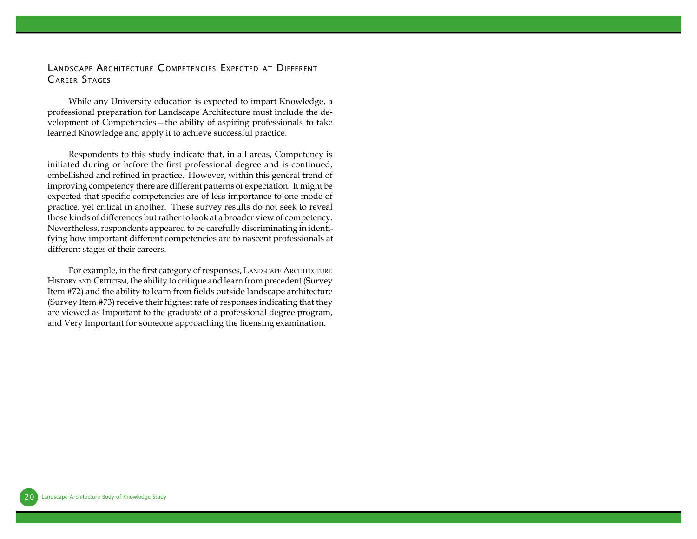### *LANDSCAPE ARCHITECTURE C OMPETENCIES EXPECTED AT DIFFERENT CAREER STAGES*

While any University education is expected to impart Knowledge, a professional preparation for Landscape Architecture must include the development of Competencies—the ability of aspiring professionals to take learned Knowledge and apply it to achieve successful practice.

Respondents to this study indicate that, in all areas, Competency is initiated during or before the first professional degree and is continued, embellished and refined in practice. However, within this general trend of improving competency there are different patterns of expectation. It might be expected that specific competencies are of less importance to one mode of practice, yet critical in another. These survey results do not seek to reveal those kinds of differences but rather to look at a broader view of competency. Nevertheless, respondents appeared to be carefully discriminating in identifying how important different competencies are to nascent professionals at different stages of their careers.

For example, in the first category of responses, LANDSCAPE ARCHITECTURE HISTORY AND CRITICISM, the ability to critique and learn from precedent (Survey Item #72) and the ability to learn from fields outside landscape architecture (Survey Item #73) receive their highest rate of responses indicating that they are viewed as Important to the graduate of a professional degree program, and Very Important for someone approaching the licensing examination.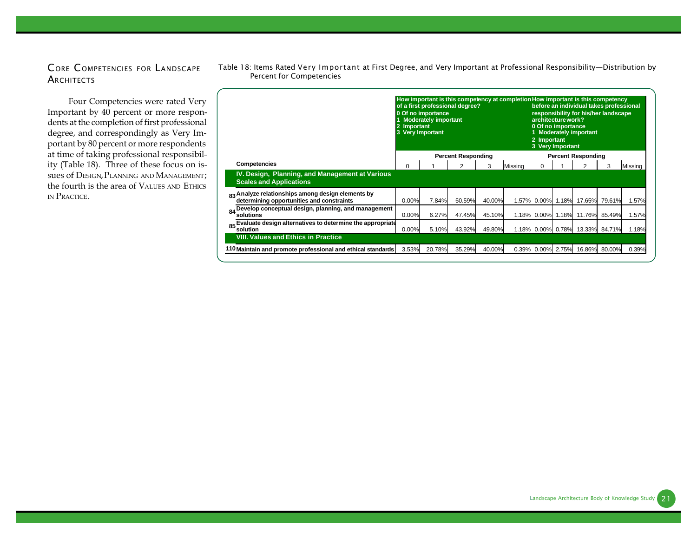## *C ORE C OMPETENCIES FOR LANDSCAPE ARCHITECTS*

Four Competencies were rated Very Important by 40 percent or more respondents at the completion of first professional degree, and correspondingly as Very Important by 80 percent or more respondents at time of taking professional responsibility (Table 18). Three of these focus on issues of DESIGN, PLANNING AND MANAGEMENT; the fourth is the area of VALUES AND ETHICS IN PRACTICE.

|                                                                                                | 2 Important<br>3 Very Important | 0 Of no importance<br><b>Moderately important</b> | of a first professional degree? |        | How important is this competency at completion How important is this competency | 2 Important | architecture work?<br>0 Of no importance<br>3 Very Important | before an individual takes professional<br>responsibility for his/her landscape<br>1 Moderately important |               |         |
|------------------------------------------------------------------------------------------------|---------------------------------|---------------------------------------------------|---------------------------------|--------|---------------------------------------------------------------------------------|-------------|--------------------------------------------------------------|-----------------------------------------------------------------------------------------------------------|---------------|---------|
|                                                                                                |                                 |                                                   | <b>Percent Responding</b>       |        |                                                                                 |             |                                                              | <b>Percent Responding</b>                                                                                 |               |         |
| <b>Competencies</b>                                                                            | 0                               |                                                   | 2                               | 3      | Missina                                                                         | $\Omega$    |                                                              |                                                                                                           | 3             | Missing |
| IV. Design, Planning, and Management at Various<br><b>Scales and Applications</b>              |                                 |                                                   |                                 |        |                                                                                 |             |                                                              |                                                                                                           |               |         |
| 83 Analyze relationships among design elements by<br>determining opportunities and constraints | 0.00%                           | 7.84%                                             | 50.59%                          | 40.00% |                                                                                 | 1.57% 0.00% | 1.18%                                                        | 17.65%                                                                                                    | 79.61%        | 1.57%   |
| Develop conceptual design, planning, and management<br>84<br>solutions                         | 0.00%                           | 6.27%                                             | 47.45%                          | 45.10% |                                                                                 | 1.18% 0.00% | 1.18%                                                        | 11.76%                                                                                                    | 85.49%        | 1.57%   |
| 85 Evaluate design alternatives to determine the appropriate<br>solution                       | 0.00%                           | 5.10%                                             | 43.92%                          | 49.80% |                                                                                 |             | 1.18% 0.00% 0.78%                                            |                                                                                                           | 13.33% 84.71% | 1.18%   |
| <b>VIII. Values and Ethics in Practice</b>                                                     |                                 |                                                   |                                 |        |                                                                                 |             |                                                              |                                                                                                           |               |         |
| 110 Maintain and promote professional and ethical standards                                    | 3.53%                           | 20.78%                                            | 35.29%                          | 40.00% |                                                                                 | 0.39% 0.00% | 2.75%                                                        | 16.86%                                                                                                    | 80.00%        | 0.39%   |

*Table 18: Items Rated Very Important at First Degree, and Very Important at Professional Responsibility—Distribution by Percent for Competencies*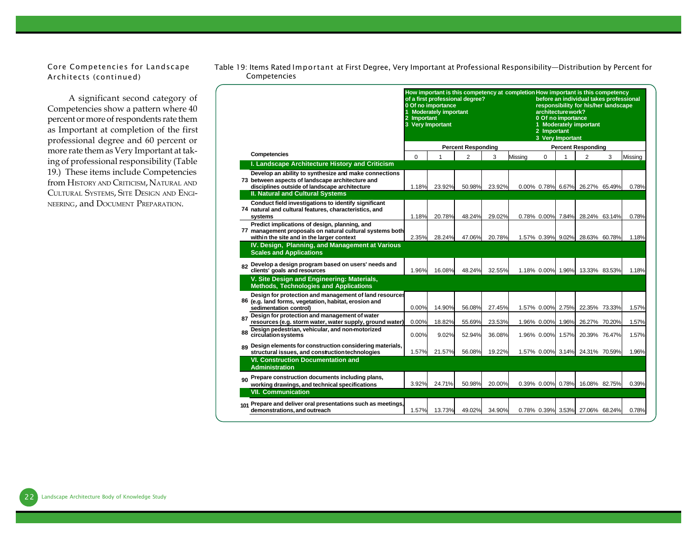*Core Competencies for Landscape Architects (continued)*

A significant second category of Competencies show a pattern where 40 percent or more of respondents rate them as Important at completion of the first professional degree and 60 percent or more rate them as Very Important at taking of professional responsibility (Table 19.) These items include Competencies from HISTORY AND CRITICISM, NATURAL AND CULTURAL SYSTEMS, SITE DESIGN AND ENGI-NEERING, and DOCUMENT PREPARATION.

|     |                                                                                                                                                                                                       | Important<br>$\overline{2}$<br>3 Very Important | 0 Of no importance<br><b>Moderately important</b> | of a first professional degree? |        | How important is this competency at completion How important is this competency | 2 Important    | architecture work?<br>0 Of no importance<br>3 Very Important | before an individual takes professional<br>responsibility for his/her landscape<br>1 Moderately important |   |         |
|-----|-------------------------------------------------------------------------------------------------------------------------------------------------------------------------------------------------------|-------------------------------------------------|---------------------------------------------------|---------------------------------|--------|---------------------------------------------------------------------------------|----------------|--------------------------------------------------------------|-----------------------------------------------------------------------------------------------------------|---|---------|
|     |                                                                                                                                                                                                       |                                                 |                                                   | <b>Percent Responding</b>       |        |                                                                                 |                |                                                              | <b>Percent Responding</b>                                                                                 |   |         |
|     | Competencies                                                                                                                                                                                          | $\Omega$                                        |                                                   | $\overline{2}$                  | 3      | Missing                                                                         | $\Omega$       | 1                                                            | $\overline{2}$                                                                                            | 3 | Missing |
|     | I. Landscape Architecture History and Criticism                                                                                                                                                       |                                                 |                                                   |                                 |        |                                                                                 |                |                                                              |                                                                                                           |   |         |
|     | Develop an ability to synthesize and make connections<br>73 between aspects of landscape architecture and<br>disciplines outside of landscape architecture<br><b>II. Natural and Cultural Systems</b> | 1.18%                                           | 23.92%                                            | 50.98%                          | 23.92% |                                                                                 |                |                                                              | 0.00% 0.78% 6.67% 26.27% 65.49%                                                                           |   | 0.78%   |
|     | Conduct field investigations to identify significant<br>74 natural and cultural features, characteristics, and<br>systems                                                                             | 1.18%                                           | 20.78%                                            | 48.24%                          | 29.02% |                                                                                 | $0.78\%$ 0.00% | 7.84%                                                        | 28.24% 63.14%                                                                                             |   | 0.78%   |
|     | Predict implications of design, planning, and<br>77 management proposals on natural cultural systems both<br>within the site and in the larger context                                                | 2.35%                                           | 28.24%                                            | 47.06%                          | 20.78% |                                                                                 |                | 1.57% 0.39% 9.02%                                            | 28.63% 60.78%                                                                                             |   | 1.18%   |
|     | IV. Design, Planning, and Management at Various<br><b>Scales and Applications</b><br>82 Develop a design program based on users' needs and<br>clients' goals and resources                            | 1.96%                                           | 16.08%                                            | 48.24%                          | 32.55% |                                                                                 |                | 1.18% 0.00% 1.96%                                            | 13.33% 83.53%                                                                                             |   | 1.18%   |
|     | V. Site Design and Engineering: Materials,<br><b>Methods, Technologies and Applications</b>                                                                                                           |                                                 |                                                   |                                 |        |                                                                                 |                |                                                              |                                                                                                           |   |         |
|     | Design for protection and management of land resources<br>86 (e.g. land forms, vegetation, habitat, erosion and<br>sedimentation control)                                                             | 0.00%                                           | 14.90%                                            | 56.08%                          | 27.45% |                                                                                 | 1.57% 0.00%    | 2.75%                                                        | 22.35% 73.33%                                                                                             |   | 1.57%   |
| 87  | Design for protection and management of water<br>resources (e.g. storm water, water supply, ground water)                                                                                             | 0.00%                                           | 18.82%                                            | 55.69%                          | 23.53% |                                                                                 | 1.96% 0.00%    | 1.96%                                                        | 26.27% 70.20%                                                                                             |   | 1.57%   |
| 88  | Design pedestrian, vehicular, and non-motorized<br>circulation systems                                                                                                                                | 0.00%                                           | 9.02%                                             | 52.94%                          | 36.08% |                                                                                 |                | 1.96% 0.00% 1.57%                                            | 20.39% 76.47%                                                                                             |   | 1.57%   |
|     | 89 Design elements for construction considering materials,<br>structural issues, and construction technologies                                                                                        | 1.57%                                           | 21.57%                                            | 56.08%                          | 19.22% |                                                                                 |                | 1.57% 0.00% 3.14%                                            | 24.31% 70.59%                                                                                             |   | 1.96%   |
|     | <b>VI. Construction Documentation and</b><br><b>Administration</b>                                                                                                                                    |                                                 |                                                   |                                 |        |                                                                                 |                |                                                              |                                                                                                           |   |         |
| 90  | Prepare construction documents including plans,<br>working drawings, and technical specifications<br><b>VII. Communication</b>                                                                        | 3.92%                                           | 24.71%                                            | 50.98%                          | 20.00% |                                                                                 |                | 0.39% 0.00% 0.78%                                            | 16.08% 82.75%                                                                                             |   | 0.39%   |
| 101 | Prepare and deliver oral presentations such as meetings,<br>demonstrations, and outreach                                                                                                              | 1.57%                                           | 13.73%                                            | 49.02%                          | 34.90% |                                                                                 | 0.78% 0.39%    | 3.53%                                                        | 27.06% 68.24%                                                                                             |   | 0.78%   |

*Table 19: Items Rated Important at First Degree, Very Important at Professional Responsibility—Distribution by Percent for Competencies*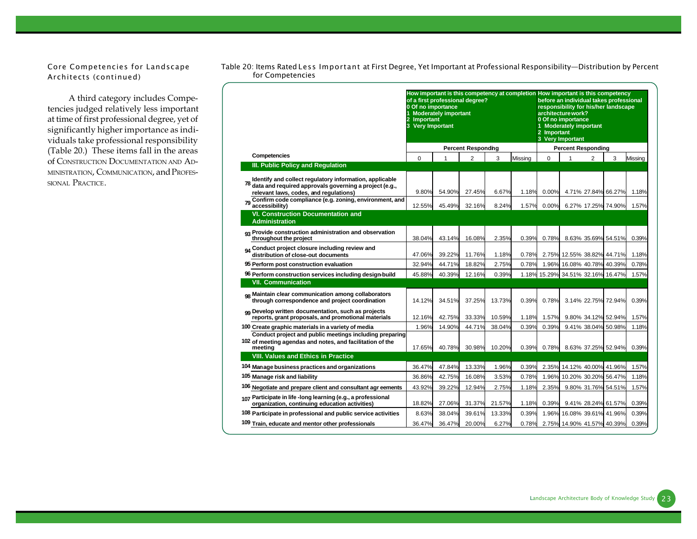*Core Competencies for Landscape Architects (continued)*

A third category includes Competencies judged relatively less important at time of first professional degree, yet of significantly higher importance as individuals take professional responsibility (Table 20.) These items fall in the areas of CONSTRUCTION DOCUMENTATION AND AD-MINISTRATION, COMMUNICATION, and PROFES-SIONAL PRACTICE.

|                                                                                                                                                                   | How important is this competency at completion How important is this competency<br>of a first professional degree?<br>0 Of no importance<br>Important<br>3 Very Important | <b>Moderately important</b> |                           |        |         | 2 Important | before an individual takes professional<br>responsibility for his/her landscape<br>architecture work?<br>0 Of no importance<br>1 Moderately important<br>3 Very Important |                |                      |         |
|-------------------------------------------------------------------------------------------------------------------------------------------------------------------|---------------------------------------------------------------------------------------------------------------------------------------------------------------------------|-----------------------------|---------------------------|--------|---------|-------------|---------------------------------------------------------------------------------------------------------------------------------------------------------------------------|----------------|----------------------|---------|
|                                                                                                                                                                   |                                                                                                                                                                           |                             | <b>Percent Responding</b> |        |         |             | <b>Percent Responding</b>                                                                                                                                                 |                |                      |         |
| Competencies                                                                                                                                                      | $\Omega$                                                                                                                                                                  | 1                           | $\overline{2}$            | 3      | Missing | $\Omega$    | 1                                                                                                                                                                         | $\overline{2}$ | 3                    | Missing |
| III. Public Policy and Regulation                                                                                                                                 |                                                                                                                                                                           |                             |                           |        |         |             |                                                                                                                                                                           |                |                      |         |
| Identify and collect regulatory information, applicable<br>78<br>data and required approvals governing a project (e.g.,<br>relevant laws, codes, and regulations) | 9.80%                                                                                                                                                                     | 54.90%                      | 27.45%                    | 6.67%  | 1.18%   | 0.00%       |                                                                                                                                                                           |                | 4.71% 27.84% 66.27%  | 1.18%   |
| 79 Confirm code compliance (e.g. zoning, environment, and<br>accessibility)                                                                                       | 12.55%                                                                                                                                                                    | 45.49%                      | 32.16%                    | 8.24%  | 1.57%   | 0.00%       |                                                                                                                                                                           |                | 6.27% 17.25% 74.90%  | 1.57%   |
| <b>VI. Construction Documentation and</b><br><b>Administration</b>                                                                                                |                                                                                                                                                                           |                             |                           |        |         |             |                                                                                                                                                                           |                |                      |         |
| <sub>93</sub> Provide construction administration and observation<br>throughout the project                                                                       | 38.04%                                                                                                                                                                    | 43.14%                      | 16.08%                    | 2.35%  | 0.39%   | 0.78%       |                                                                                                                                                                           |                | 8.63% 35.69% 54.51%  | 0.39%   |
| 04 Conduct project closure including review and<br>distribution of close-out documents                                                                            | 47.06%                                                                                                                                                                    | 39.22%                      | 11.76%                    | 1.18%  | 0.78%   | 2.75%       |                                                                                                                                                                           |                | 12.55% 38.82% 44.71% | 1.18%   |
| 95 Perform post construction evaluation                                                                                                                           | 32.94%                                                                                                                                                                    | 44.71%                      | 18.82%                    | 2.75%  | 0.78%   | 1.96%       |                                                                                                                                                                           |                | 16.08% 40.78% 40.39% | 0.78%   |
| 96 Perform construction services including design-build                                                                                                           | 45.88%                                                                                                                                                                    | 40.39%                      | 12.16%                    | 0.39%  | 1.18%   |             | 15.29% 34.51% 32.16% 16.47%                                                                                                                                               |                |                      | 1.57%   |
| <b>VII. Communication</b>                                                                                                                                         |                                                                                                                                                                           |                             |                           |        |         |             |                                                                                                                                                                           |                |                      |         |
| og Maintain clear communication among collaborators<br>through correspondence and project coordination                                                            | 14.12%                                                                                                                                                                    | 34.51%                      | 37.25%                    | 13.73% | 0.39%   | 0.78%       |                                                                                                                                                                           |                | 3.14% 22.75% 72.94%  | 0.39%   |
| 99 Develop written documentation, such as projects<br>reports, grant proposals, and promotional materials                                                         | 12.16%                                                                                                                                                                    | 42.75%                      | 33.33%                    | 10.59% | 1.18%   | 1.57%       |                                                                                                                                                                           |                | 9.80% 34.12% 52.94%  | 1.57%   |
| 100 Create graphic materials in a variety of media                                                                                                                | 1.96%                                                                                                                                                                     | 14.90%                      | 44.71%                    | 38.04% | 0.39%   | 0.39%       |                                                                                                                                                                           |                | 9.41% 38.04% 50.98%  | 1.18%   |
| Conduct project and public meetings including preparing<br>102 of meeting agendas and notes, and facilitation of the<br>meeting                                   | 17.65%                                                                                                                                                                    | 40.78%                      | 30.98%                    | 10.20% | 0.39%   | 0.78%       |                                                                                                                                                                           |                | 8.63% 37.25% 52.94%  | 0.39%   |
| <b>VIII. Values and Ethics in Practice</b>                                                                                                                        |                                                                                                                                                                           |                             |                           |        |         |             |                                                                                                                                                                           |                |                      |         |
| 104 Manage business practices and organizations                                                                                                                   | 36.47%                                                                                                                                                                    | 47.84%                      | 13.33%                    | 1.96%  | 0.39%   | 2.35%       |                                                                                                                                                                           |                | 14.12% 40.00% 41.96% | 1.57%   |
| 105 Manage risk and liability                                                                                                                                     | 36.86%                                                                                                                                                                    | 42.75%                      | 16.08%                    | 3.53%  | 0.78%   | 1.96%       |                                                                                                                                                                           |                | 10.20% 30.20% 56.47% | 1.18%   |
| 106 Negotiate and prepare client and consultant agr eements                                                                                                       | 43.92%                                                                                                                                                                    | 39.22%                      | 12.94%                    | 2.75%  | 1.18%   | 2.35%       |                                                                                                                                                                           |                | 9.80% 31.76% 54.51%  | 1.57%   |
| 107 Participate in life -long learning (e.g., a professional<br>organization, continuing education activities)                                                    | 18.82%                                                                                                                                                                    | 27.06%                      | 31.37%                    | 21.57% | 1.18%   | 0.39%       |                                                                                                                                                                           |                | 9.41% 28.24% 61.57%  | 0.39%   |
| 108 Participate in professional and public service activities                                                                                                     | 8.63%                                                                                                                                                                     | 38.04%                      | 39.61%                    | 13.33% | 0.39%   | 1.96%       |                                                                                                                                                                           |                | 16.08% 39.61% 41.96% | 0.39%   |
| 109 Train, educate and mentor other professionals                                                                                                                 | 36.47%                                                                                                                                                                    | 36.47%                      | 20.00%                    | 6.27%  | 0.78%   |             | 2.75% 14.90% 41.57% 40.39%                                                                                                                                                |                |                      | 0.39%   |

*Table 20: Items Rated Less Important at First Degree, Yet Important at Professional Responsibility—Distribution by Percent for Competencies*